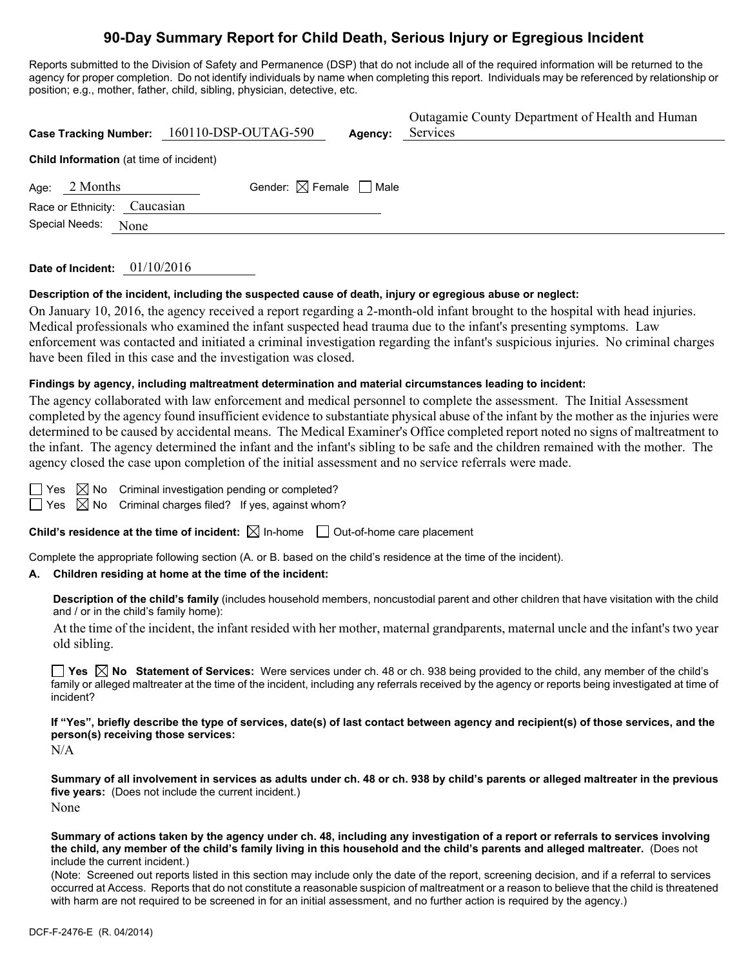## **90-Day Summary Report for Child Death, Serious Injury or Egregious Incident**

Reports submitted to the Division of Safety and Permanence (DSP) that do not include all of the required information will be returned to the agency for proper completion. Do not identify individuals by name when completing this report. Individuals may be referenced by relationship or position; e.g., mother, father, child, sibling, physician, detective, etc.

|                                                | Case Tracking Number: 160110-DSP-OUTAG-590 | Agency: | Outagamie County Department of Health and Human<br>Services |  |  |  |  |
|------------------------------------------------|--------------------------------------------|---------|-------------------------------------------------------------|--|--|--|--|
| <b>Child Information</b> (at time of incident) |                                            |         |                                                             |  |  |  |  |
| 2 Months<br>Age:                               | Gender: $\boxtimes$ Female $\Box$ Male     |         |                                                             |  |  |  |  |
| Caucasian<br>Race or Ethnicity:                |                                            |         |                                                             |  |  |  |  |
| Special Needs:<br>None                         |                                            |         |                                                             |  |  |  |  |
|                                                |                                            |         |                                                             |  |  |  |  |

**Date of Incident:** 01/10/2016

#### **Description of the incident, including the suspected cause of death, injury or egregious abuse or neglect:**

On January 10, 2016, the agency received a report regarding a 2-month-old infant brought to the hospital with head injuries. Medical professionals who examined the infant suspected head trauma due to the infant's presenting symptoms. Law enforcement was contacted and initiated a criminal investigation regarding the infant's suspicious injuries. No criminal charges have been filed in this case and the investigation was closed.

#### **Findings by agency, including maltreatment determination and material circumstances leading to incident:**

The agency collaborated with law enforcement and medical personnel to complete the assessment. The Initial Assessment completed by the agency found insufficient evidence to substantiate physical abuse of the infant by the mother as the injuries were determined to be caused by accidental means. The Medical Examiner's Office completed report noted no signs of maltreatment to the infant. The agency determined the infant and the infant's sibling to be safe and the children remained with the mother. The agency closed the case upon completion of the initial assessment and no service referrals were made.

 $\boxtimes$  No Criminal investigation pending or completed?

 $\Box$  Yes  $\boxtimes$  No Criminal charges filed? If yes, against whom?

**Child's residence at the time of incident:**  $\boxtimes$  In-home  $\Box$  Out-of-home care placement

Complete the appropriate following section (A. or B. based on the child's residence at the time of the incident).

#### **A. Children residing at home at the time of the incident:**

**Description of the child's family** (includes household members, noncustodial parent and other children that have visitation with the child and / or in the child's family home):

 At the time of the incident, the infant resided with her mother, maternal grandparents, maternal uncle and the infant's two year old sibling.

**Yes No Statement of Services:** Were services under ch. 48 or ch. 938 being provided to the child, any member of the child's family or alleged maltreater at the time of the incident, including any referrals received by the agency or reports being investigated at time of incident?

**If "Yes", briefly describe the type of services, date(s) of last contact between agency and recipient(s) of those services, and the person(s) receiving those services:** 

N/A

**Summary of all involvement in services as adults under ch. 48 or ch. 938 by child's parents or alleged maltreater in the previous five years:** (Does not include the current incident.) None

**Summary of actions taken by the agency under ch. 48, including any investigation of a report or referrals to services involving the child, any member of the child's family living in this household and the child's parents and alleged maltreater.** (Does not include the current incident.)

(Note: Screened out reports listed in this section may include only the date of the report, screening decision, and if a referral to services occurred at Access. Reports that do not constitute a reasonable suspicion of maltreatment or a reason to believe that the child is threatened with harm are not required to be screened in for an initial assessment, and no further action is required by the agency.)